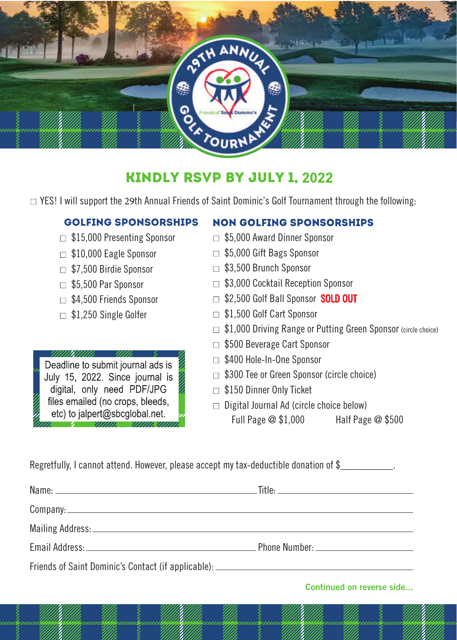

## Kindly RSVP by July 1,

 $\Box$  YES! I will support the 29th Annual Friends of Saint Dominic's Golf Tournament through the following:

## GOLFING SPONSORSHIPS **NON GOLFING SPONSORSHIPS** □ \$15,000 Presenting Sponsor \$5,000 Award Dinner Sponsor □ \$5,000 Gift Bags Sponsor  $\Box$  \$10,000 Eagle Sponsor  $\Box$  \$3,500 Brunch Sponsor \$7,500 Birdie Sponsor □ \$3,000 Cocktail Reception Sponsor □ \$5,500 Par Sponsor \$2,500 Golf Ball Sponsor **SOLD OUT**  $\Box$  \$4,500 Friends Sponsor □ \$1.500 Golf Cart Sponsor □ \$1,250 Single Golfer □ \$1,000 Driving Range or Putting Green Sponsor (circle choice) □ \$500 Beverage Cart Sponsor UNIUMI. □ \$400 Hole-In-One Sponsor Deadline to submit journal ads is  $\Box$  \$300 Tee or Green Sponsor (circle choice) July 15, 2022. Since journal is digital, only need PDF/JPG \$150 Dinner Only Ticket files emailed (no crops, bleeds,  $\Box$  Digital Journal Ad (circle choice below) etc) to jalpert@sbcglobal.net. Full Page @ \$1,000 Half Page @ \$500

Regretfully, I cannot attend. However, please accept my tax-deductible donation of \$

Name: Title: Company: Mailing Address: Email Address: Phone Number: Friends of Saint Dominic's Contact (if applicable):

**Continued on reverse side...**